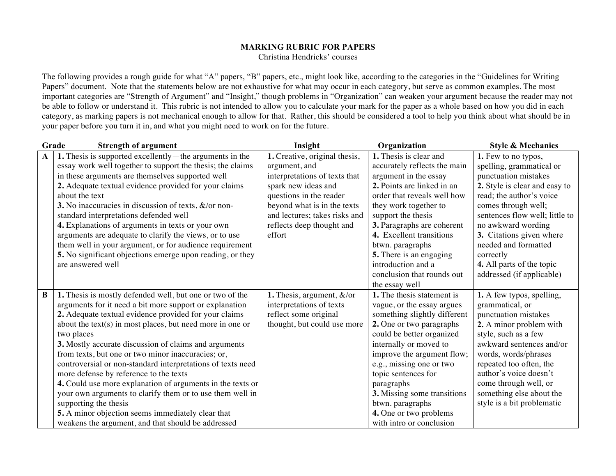## **MARKING RUBRIC FOR PAPERS**

Christina Hendricks' courses

The following provides a rough guide for what "A" papers, "B" papers, etc., might look like, according to the categories in the "Guidelines for Writing Papers" document. Note that the statements below are not exhaustive for what may occur in each category, but serve as common examples. The most important categories are "Strength of Argument" and "Insight," though problems in "Organization" can weaken your argument because the reader may not be able to follow or understand it. This rubric is not intended to allow you to calculate your mark for the paper as a whole based on how you did in each category, as marking papers is not mechanical enough to allow for that. Rather, this should be considered a tool to help you think about what should be in your paper before you turn it in, and what you might need to work on for the future.

| Grade<br><b>Strength of argument</b> |                                                             | Insight                       | Organization                 | <b>Style &amp; Mechanics</b>   |
|--------------------------------------|-------------------------------------------------------------|-------------------------------|------------------------------|--------------------------------|
| $\mathbf{A}$                         | 1. Thesis is supported excellently—the arguments in the     | 1. Creative, original thesis, | 1. Thesis is clear and       | 1. Few to no typos,            |
|                                      | essay work well together to support the thesis; the claims  | argument, and                 | accurately reflects the main | spelling, grammatical or       |
|                                      | in these arguments are themselves supported well            | interpretations of texts that | argument in the essay        | punctuation mistakes           |
|                                      | 2. Adequate textual evidence provided for your claims       | spark new ideas and           | 2. Points are linked in an   | 2. Style is clear and easy to  |
|                                      | about the text                                              | questions in the reader       | order that reveals well how  | read; the author's voice       |
|                                      | 3. No inaccuracies in discussion of texts, $\&$ /or non-    | beyond what is in the texts   | they work together to        | comes through well;            |
|                                      | standard interpretations defended well                      | and lectures; takes risks and | support the thesis           | sentences flow well; little to |
|                                      | 4. Explanations of arguments in texts or your own           | reflects deep thought and     | 3. Paragraphs are coherent   | no awkward wording             |
|                                      | arguments are adequate to clarify the views, or to use      | effort                        | 4. Excellent transitions     | 3. Citations given where       |
|                                      | them well in your argument, or for audience requirement     |                               | btwn. paragraphs             | needed and formatted           |
|                                      | 5. No significant objections emerge upon reading, or they   |                               | 5. There is an engaging      | correctly                      |
|                                      | are answered well                                           |                               | introduction and a           | 4. All parts of the topic      |
|                                      |                                                             |                               | conclusion that rounds out   | addressed (if applicable)      |
|                                      |                                                             |                               | the essay well               |                                |
| $\bf{B}$                             | 1. Thesis is mostly defended well, but one or two of the    | 1. Thesis, argument, $&$ /or  | 1. The thesis statement is   | 1. A few typos, spelling,      |
|                                      | arguments for it need a bit more support or explanation     | interpretations of texts      | vague, or the essay argues   | grammatical, or                |
|                                      | 2. Adequate textual evidence provided for your claims       | reflect some original         | something slightly different | punctuation mistakes           |
|                                      | about the text(s) in most places, but need more in one or   | thought, but could use more   | 2. One or two paragraphs     | 2. A minor problem with        |
|                                      | two places                                                  |                               | could be better organized    | style, such as a few           |
|                                      | 3. Mostly accurate discussion of claims and arguments       |                               | internally or moved to       | awkward sentences and/or       |
|                                      | from texts, but one or two minor inaccuracies; or,          |                               | improve the argument flow;   | words, words/phrases           |
|                                      | controversial or non-standard interpretations of texts need |                               | e.g., missing one or two     | repeated too often, the        |
|                                      | more defense by reference to the texts                      |                               | topic sentences for          | author's voice doesn't         |
|                                      | 4. Could use more explanation of arguments in the texts or  |                               | paragraphs                   | come through well, or          |
|                                      | your own arguments to clarify them or to use them well in   |                               | 3. Missing some transitions  | something else about the       |
|                                      | supporting the thesis                                       |                               | btwn. paragraphs             | style is a bit problematic     |
|                                      | 5. A minor objection seems immediately clear that           |                               | 4. One or two problems       |                                |
|                                      | weakens the argument, and that should be addressed          |                               | with intro or conclusion     |                                |